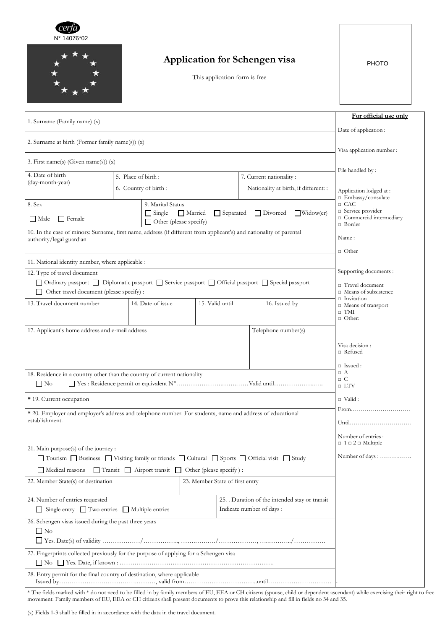



## **Application for Schengen visa**

This application form is free

PHOTO

| 1. Surname (Family name) (x)                                                                                                                    |                                                  |                                                                      |                                                                                                     |                                              |                                       | For official use only                              |
|-------------------------------------------------------------------------------------------------------------------------------------------------|--------------------------------------------------|----------------------------------------------------------------------|-----------------------------------------------------------------------------------------------------|----------------------------------------------|---------------------------------------|----------------------------------------------------|
|                                                                                                                                                 | Date of application :                            |                                                                      |                                                                                                     |                                              |                                       |                                                    |
| 2. Surname at birth (Former family name(s)) (x)                                                                                                 | Visa application number :                        |                                                                      |                                                                                                     |                                              |                                       |                                                    |
| 3. First name(s) (Given name(s)) (x)                                                                                                            | File handled by:                                 |                                                                      |                                                                                                     |                                              |                                       |                                                    |
| 4. Date of birth<br>(day-month-year)                                                                                                            |                                                  | 5. Place of birth:                                                   |                                                                                                     |                                              | 7. Current nationality:               |                                                    |
|                                                                                                                                                 | 6. Country of birth:                             |                                                                      |                                                                                                     |                                              | Nationality at birth, if different: : | Application lodged at:<br>$\Box$ Embassy/consulate |
| 8. Sex                                                                                                                                          | 9. Marital Status                                |                                                                      |                                                                                                     |                                              | $\Box$ CAC<br>□ Service provider      |                                                    |
| $\Box$ Female<br>  Male                                                                                                                         |                                                  | $\Box$ Single                                                        | Married<br>$\Box$ Divorced<br>$\Box$ Widow(er)<br>$\Box$ Separated<br>$\Box$ Other (please specify) |                                              |                                       | □ Commercial intermediary<br>$\Box$ Border         |
| 10. In the case of minors: Surname, first name, address (if different from applicant's) and nationality of parental<br>authority/legal guardian | Name:                                            |                                                                      |                                                                                                     |                                              |                                       |                                                    |
|                                                                                                                                                 | $\Box$ Other                                     |                                                                      |                                                                                                     |                                              |                                       |                                                    |
| 11. National identity number, where applicable :<br>12. Type of travel document                                                                 | Supporting documents :                           |                                                                      |                                                                                                     |                                              |                                       |                                                    |
| □ Ordinary passport □ Diplomatic passport □ Service passport □ Official passport □ Special passport                                             |                                                  |                                                                      |                                                                                                     |                                              |                                       | $\Box$ Travel document                             |
| □ Other travel document (please specify) :                                                                                                      | $\Box$ Means of subsistence<br>$\Box$ Invitation |                                                                      |                                                                                                     |                                              |                                       |                                                    |
| 13. Travel document number                                                                                                                      |                                                  | 14. Date of issue                                                    | 15. Valid until                                                                                     |                                              | 16. Issued by                         | $\Box$ Means of transport                          |
|                                                                                                                                                 |                                                  |                                                                      |                                                                                                     |                                              |                                       | $\Box$ TMI<br>$\Box$ Other:                        |
| 17. Applicant's home address and e-mail address                                                                                                 |                                                  |                                                                      |                                                                                                     |                                              | Telephone number(s)                   |                                                    |
|                                                                                                                                                 |                                                  |                                                                      |                                                                                                     |                                              |                                       |                                                    |
|                                                                                                                                                 |                                                  |                                                                      |                                                                                                     |                                              |                                       | Visa decision :<br>$\Box$ Refused                  |
|                                                                                                                                                 |                                                  |                                                                      |                                                                                                     |                                              |                                       | $\Box$ Issued :                                    |
| 18. Residence in a country other than the country of current nationality                                                                        | $\Box$ A                                         |                                                                      |                                                                                                     |                                              |                                       |                                                    |
| $\Box$ No                                                                                                                                       | $\Box$ C<br>$\Box$ LTV                           |                                                                      |                                                                                                     |                                              |                                       |                                                    |
| * 19. Current occupation                                                                                                                        |                                                  |                                                                      |                                                                                                     |                                              |                                       | $\sqcap$ Valid :                                   |
| * 20. Employer and employer's address and telephone number. For students, name and address of educational                                       |                                                  |                                                                      |                                                                                                     |                                              |                                       |                                                    |
| establishment.                                                                                                                                  | Until                                            |                                                                      |                                                                                                     |                                              |                                       |                                                    |
|                                                                                                                                                 |                                                  |                                                                      |                                                                                                     |                                              |                                       | Number of entries:                                 |
| 21. Main purpose(s) of the journey :                                                                                                            |                                                  |                                                                      |                                                                                                     |                                              |                                       | $\Box$ 1 $\Box$ 2 $\Box$ Multiple                  |
| □ Tourism □ Business □ Visiting family or friends □ Cultural □ Sports □ Official visit □ Study                                                  |                                                  |                                                                      |                                                                                                     |                                              |                                       | Number of days :                                   |
| Medical reasons                                                                                                                                 |                                                  | $\Box$ Transit $\Box$ Airport transit $\Box$ Other (please specify): |                                                                                                     |                                              |                                       |                                                    |
| 22. Member State(s) of destination                                                                                                              |                                                  |                                                                      |                                                                                                     |                                              |                                       |                                                    |
| 24. Number of entries requested                                                                                                                 |                                                  |                                                                      |                                                                                                     | 25. Duration of the intended stay or transit |                                       |                                                    |
| □ Single entry □ Two entries □ Multiple entries                                                                                                 |                                                  |                                                                      | Indicate number of days :                                                                           |                                              |                                       |                                                    |
| 26. Schengen visas issued during the past three years                                                                                           |                                                  |                                                                      |                                                                                                     |                                              |                                       |                                                    |
| $\Box$ No                                                                                                                                       |                                                  |                                                                      |                                                                                                     |                                              |                                       |                                                    |
| 27. Fingerprints collected previously for the purpose of applying for a Schengen visa                                                           |                                                  |                                                                      |                                                                                                     |                                              |                                       |                                                    |
|                                                                                                                                                 |                                                  |                                                                      |                                                                                                     |                                              |                                       |                                                    |
| 28. Entry permit for the final country of destination, where applicable                                                                         |                                                  |                                                                      |                                                                                                     |                                              |                                       |                                                    |

\* The fields marked with \* do not need to be filled in by family members of EU, EEA or CH citizens (spouse, child or dependent ascendant) while exercising their right to free movement. Family members of EU, EEA or CH citizens shall present documents to prove this relationship and fill in fields no 34 and 35.

(x) Fields 1-3 shall be filled in in accordance with the data in the travel document.